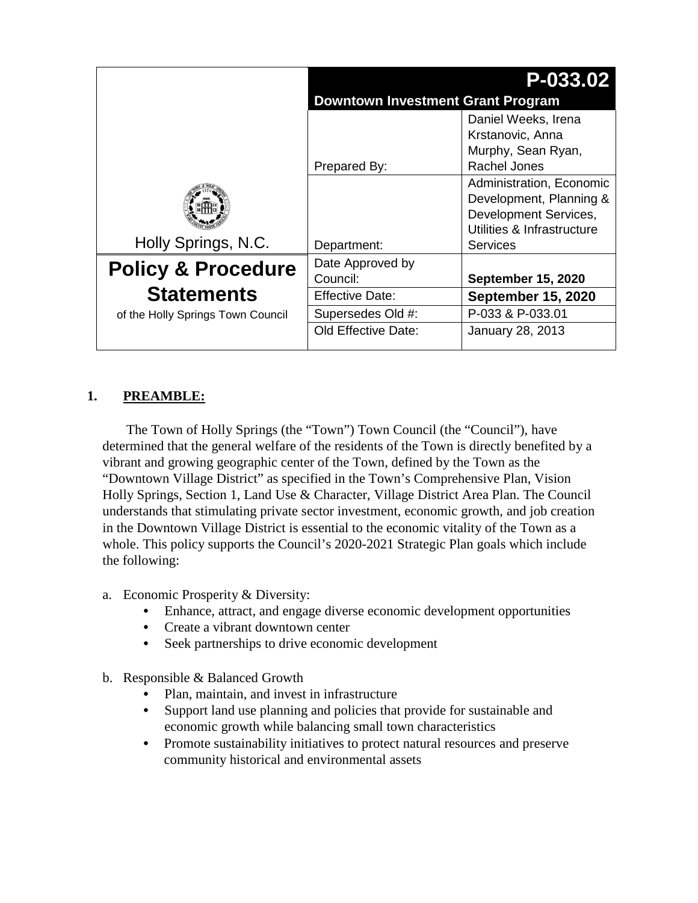|                                   |                                          | P-033.02                                                                                                                      |  |
|-----------------------------------|------------------------------------------|-------------------------------------------------------------------------------------------------------------------------------|--|
|                                   | <b>Downtown Investment Grant Program</b> |                                                                                                                               |  |
|                                   | Prepared By:                             | Daniel Weeks, Irena<br>Krstanovic, Anna<br>Murphy, Sean Ryan,<br><b>Rachel Jones</b>                                          |  |
| Holly Springs, N.C.               | Department:                              | Administration, Economic<br>Development, Planning &<br>Development Services,<br>Utilities & Infrastructure<br><b>Services</b> |  |
| <b>Policy &amp; Procedure</b>     | Date Approved by<br>Council:             | <b>September 15, 2020</b>                                                                                                     |  |
| <b>Statements</b>                 | Effective Date:                          | <b>September 15, 2020</b>                                                                                                     |  |
| of the Holly Springs Town Council | Supersedes Old #:                        | P-033 & P-033.01                                                                                                              |  |
|                                   | Old Effective Date:                      | January 28, 2013                                                                                                              |  |

# **1. PREAMBLE:**

The Town of Holly Springs (the "Town") Town Council (the "Council"), have determined that the general welfare of the residents of the Town is directly benefited by a vibrant and growing geographic center of the Town, defined by the Town as the "Downtown Village District" as specified in the Town's Comprehensive Plan, Vision Holly Springs, Section 1, Land Use & Character, Village District Area Plan. The Council understands that stimulating private sector investment, economic growth, and job creation in the Downtown Village District is essential to the economic vitality of the Town as a whole. This policy supports the Council's 2020-2021 Strategic Plan goals which include the following:

- a. Economic Prosperity & Diversity:
	- **•** Enhance, attract, and engage diverse economic development opportunities
	- **•** Create a vibrant downtown center
	- **•** Seek partnerships to drive economic development
- b. Responsible & Balanced Growth
	- Plan, maintain, and invest in infrastructure
	- **•** Support land use planning and policies that provide for sustainable and economic growth while balancing small town characteristics
	- **•** Promote sustainability initiatives to protect natural resources and preserve community historical and environmental assets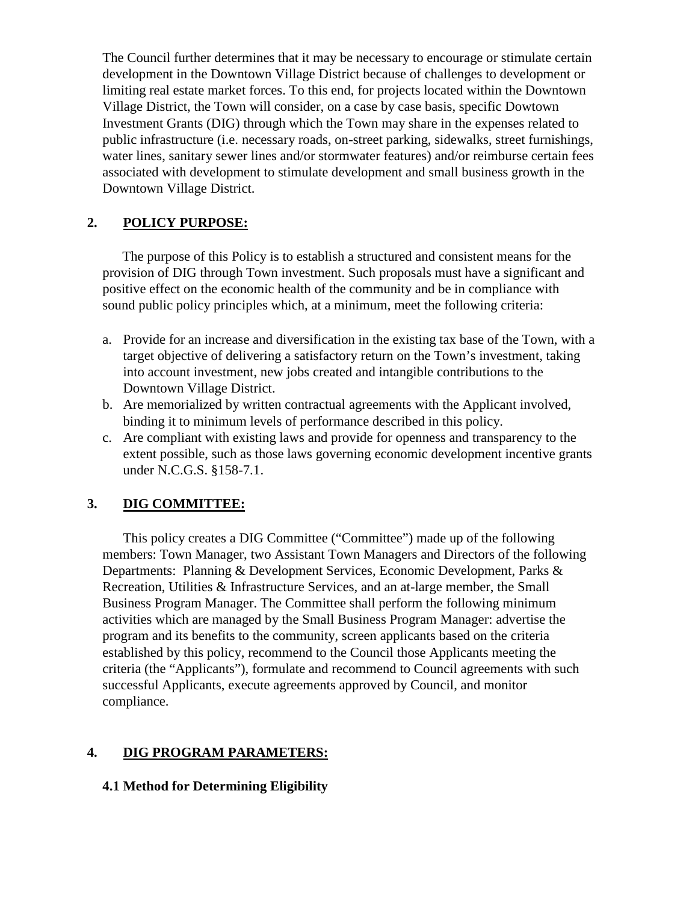The Council further determines that it may be necessary to encourage or stimulate certain development in the Downtown Village District because of challenges to development or limiting real estate market forces. To this end, for projects located within the Downtown Village District, the Town will consider, on a case by case basis, specific Dowtown Investment Grants (DIG) through which the Town may share in the expenses related to public infrastructure (i.e. necessary roads, on-street parking, sidewalks, street furnishings, water lines, sanitary sewer lines and/or stormwater features) and/or reimburse certain fees associated with development to stimulate development and small business growth in the Downtown Village District.

## **2. POLICY PURPOSE:**

The purpose of this Policy is to establish a structured and consistent means for the provision of DIG through Town investment. Such proposals must have a significant and positive effect on the economic health of the community and be in compliance with sound public policy principles which, at a minimum, meet the following criteria:

- a. Provide for an increase and diversification in the existing tax base of the Town, with a target objective of delivering a satisfactory return on the Town's investment, taking into account investment, new jobs created and intangible contributions to the Downtown Village District.
- b. Are memorialized by written contractual agreements with the Applicant involved, binding it to minimum levels of performance described in this policy.
- c. Are compliant with existing laws and provide for openness and transparency to the extent possible, such as those laws governing economic development incentive grants under N.C.G.S. §158-7.1.

# **3. DIG COMMITTEE:**

This policy creates a DIG Committee ("Committee") made up of the following members: Town Manager, two Assistant Town Managers and Directors of the following Departments: Planning & Development Services, Economic Development, Parks & Recreation, Utilities & Infrastructure Services, and an at-large member, the Small Business Program Manager. The Committee shall perform the following minimum activities which are managed by the Small Business Program Manager: advertise the program and its benefits to the community, screen applicants based on the criteria established by this policy, recommend to the Council those Applicants meeting the criteria (the "Applicants"), formulate and recommend to Council agreements with such successful Applicants, execute agreements approved by Council, and monitor compliance.

# **4. DIG PROGRAM PARAMETERS:**

### **4.1 Method for Determining Eligibility**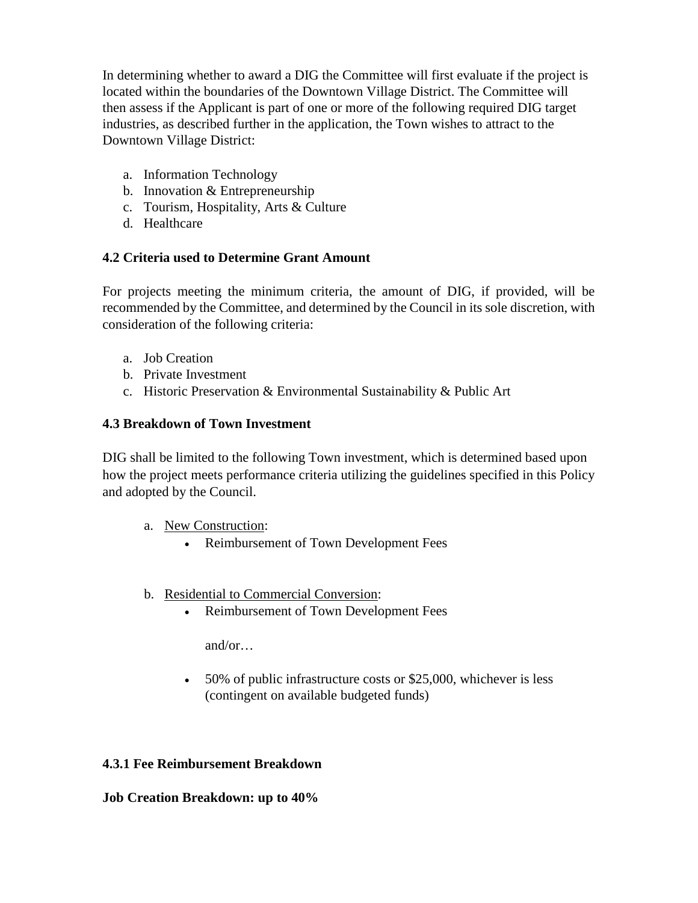In determining whether to award a DIG the Committee will first evaluate if the project is located within the boundaries of the Downtown Village District. The Committee will then assess if the Applicant is part of one or more of the following required DIG target industries, as described further in the application, the Town wishes to attract to the Downtown Village District:

- a. Information Technology
- b. Innovation & Entrepreneurship
- c. Tourism, Hospitality, Arts & Culture
- d. Healthcare

## **4.2 Criteria used to Determine Grant Amount**

For projects meeting the minimum criteria, the amount of DIG, if provided, will be recommended by the Committee, and determined by the Council in its sole discretion, with consideration of the following criteria:

- a. Job Creation
- b. Private Investment
- c. Historic Preservation & Environmental Sustainability & Public Art

## **4.3 Breakdown of Town Investment**

DIG shall be limited to the following Town investment, which is determined based upon how the project meets performance criteria utilizing the guidelines specified in this Policy and adopted by the Council.

- a. New Construction:
	- Reimbursement of Town Development Fees
- b. Residential to Commercial Conversion:
	- Reimbursement of Town Development Fees

and/or…

• 50% of public infrastructure costs or \$25,000, whichever is less (contingent on available budgeted funds)

### **4.3.1 Fee Reimbursement Breakdown**

### **Job Creation Breakdown: up to 40%**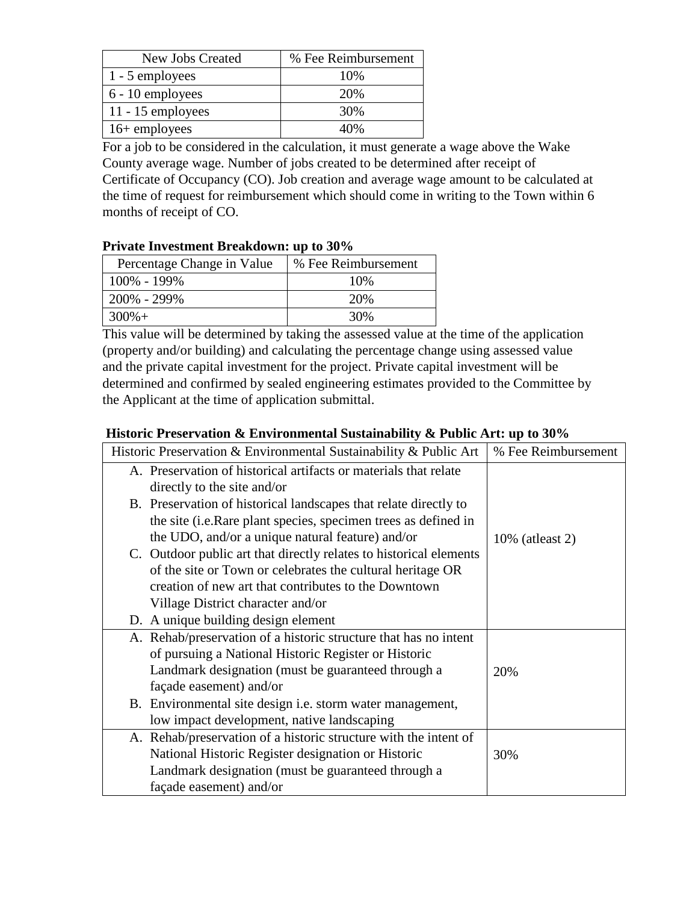| New Jobs Created    | % Fee Reimbursement |
|---------------------|---------------------|
| 1 - 5 employees     | 10%                 |
| 6 - 10 employees    | 20%                 |
| $11 - 15$ employees | 30%                 |
| $16+$ employees     | 40%                 |

For a job to be considered in the calculation, it must generate a wage above the Wake County average wage. Number of jobs created to be determined after receipt of Certificate of Occupancy (CO). Job creation and average wage amount to be calculated at the time of request for reimbursement which should come in writing to the Town within 6 months of receipt of CO.

#### **Private Investment Breakdown: up to 30%**

| Percentage Change in Value | % Fee Reimbursement |
|----------------------------|---------------------|
| 100% - 199%                | 10%                 |
| 200% - 299%                | 20%                 |
| $300\% +$                  | 30%                 |

This value will be determined by taking the assessed value at the time of the application (property and/or building) and calculating the percentage change using assessed value and the private capital investment for the project. Private capital investment will be determined and confirmed by sealed engineering estimates provided to the Committee by the Applicant at the time of application submittal.

### **Historic Preservation & Environmental Sustainability & Public Art: up to 30%**

| Historic Preservation & Environmental Sustainability & Public Art  | % Fee Reimbursement |
|--------------------------------------------------------------------|---------------------|
| A. Preservation of historical artifacts or materials that relate   |                     |
| directly to the site and/or                                        |                     |
| B. Preservation of historical landscapes that relate directly to   |                     |
| the site (i.e.Rare plant species, specimen trees as defined in     |                     |
| the UDO, and/or a unique natural feature) and/or                   | $10\%$ (at least 2) |
| C. Outdoor public art that directly relates to historical elements |                     |
| of the site or Town or celebrates the cultural heritage OR         |                     |
| creation of new art that contributes to the Downtown               |                     |
| Village District character and/or                                  |                     |
| D. A unique building design element                                |                     |
| A. Rehab/preservation of a historic structure that has no intent   |                     |
| of pursuing a National Historic Register or Historic               |                     |
| Landmark designation (must be guaranteed through a                 | 20%                 |
| façade easement) and/or                                            |                     |
| B. Environmental site design <i>i.e.</i> storm water management,   |                     |
| low impact development, native landscaping                         |                     |
| A. Rehab/preservation of a historic structure with the intent of   |                     |
| National Historic Register designation or Historic                 | 30%                 |
| Landmark designation (must be guaranteed through a                 |                     |
| façade easement) and/or                                            |                     |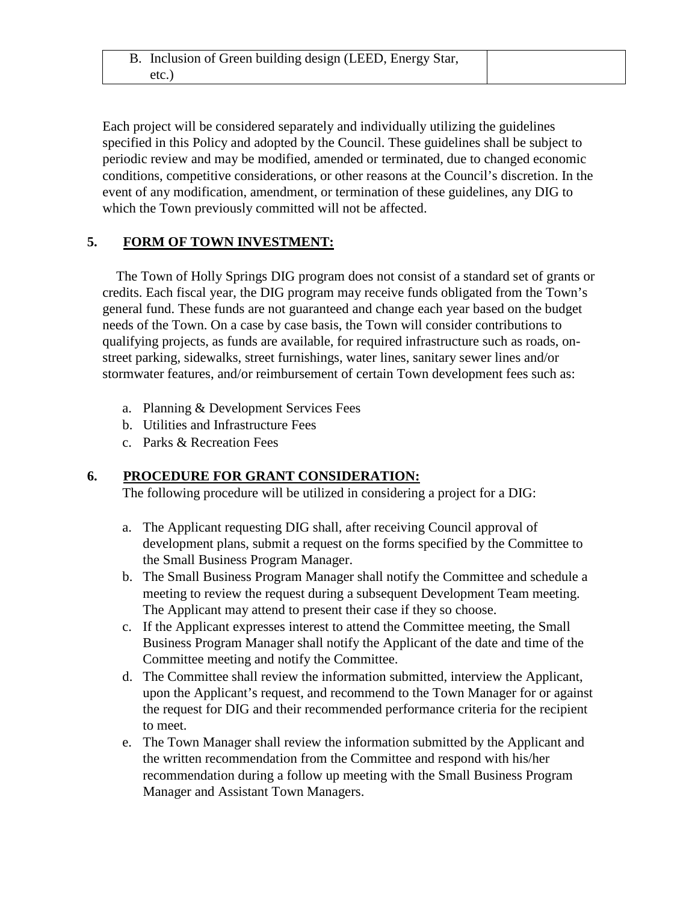Each project will be considered separately and individually utilizing the guidelines specified in this Policy and adopted by the Council. These guidelines shall be subject to periodic review and may be modified, amended or terminated, due to changed economic conditions, competitive considerations, or other reasons at the Council's discretion. In the event of any modification, amendment, or termination of these guidelines, any DIG to which the Town previously committed will not be affected.

## **5. FORM OF TOWN INVESTMENT:**

The Town of Holly Springs DIG program does not consist of a standard set of grants or credits. Each fiscal year, the DIG program may receive funds obligated from the Town's general fund. These funds are not guaranteed and change each year based on the budget needs of the Town. On a case by case basis, the Town will consider contributions to qualifying projects, as funds are available, for required infrastructure such as roads, onstreet parking, sidewalks, street furnishings, water lines, sanitary sewer lines and/or stormwater features, and/or reimbursement of certain Town development fees such as:

- a. Planning & Development Services Fees
- b. Utilities and Infrastructure Fees
- c. Parks & Recreation Fees

### **6. PROCEDURE FOR GRANT CONSIDERATION:**

The following procedure will be utilized in considering a project for a DIG:

- a. The Applicant requesting DIG shall, after receiving Council approval of development plans, submit a request on the forms specified by the Committee to the Small Business Program Manager.
- b. The Small Business Program Manager shall notify the Committee and schedule a meeting to review the request during a subsequent Development Team meeting. The Applicant may attend to present their case if they so choose.
- c. If the Applicant expresses interest to attend the Committee meeting, the Small Business Program Manager shall notify the Applicant of the date and time of the Committee meeting and notify the Committee.
- d. The Committee shall review the information submitted, interview the Applicant, upon the Applicant's request, and recommend to the Town Manager for or against the request for DIG and their recommended performance criteria for the recipient to meet.
- e. The Town Manager shall review the information submitted by the Applicant and the written recommendation from the Committee and respond with his/her recommendation during a follow up meeting with the Small Business Program Manager and Assistant Town Managers.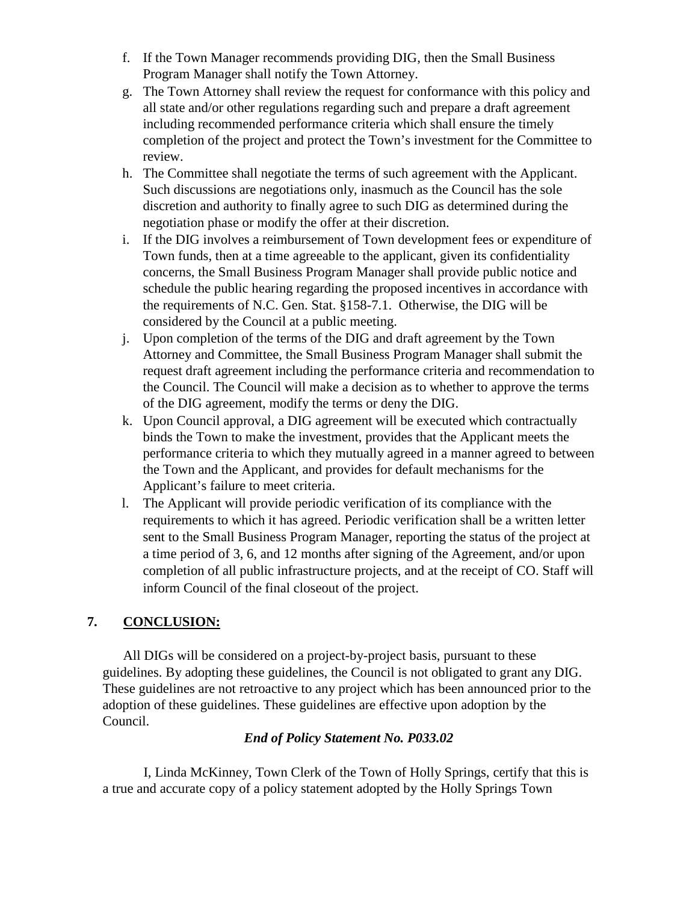- f. If the Town Manager recommends providing DIG, then the Small Business Program Manager shall notify the Town Attorney.
- g. The Town Attorney shall review the request for conformance with this policy and all state and/or other regulations regarding such and prepare a draft agreement including recommended performance criteria which shall ensure the timely completion of the project and protect the Town's investment for the Committee to review.
- h. The Committee shall negotiate the terms of such agreement with the Applicant. Such discussions are negotiations only, inasmuch as the Council has the sole discretion and authority to finally agree to such DIG as determined during the negotiation phase or modify the offer at their discretion.
- i. If the DIG involves a reimbursement of Town development fees or expenditure of Town funds, then at a time agreeable to the applicant, given its confidentiality concerns, the Small Business Program Manager shall provide public notice and schedule the public hearing regarding the proposed incentives in accordance with the requirements of N.C. Gen. Stat. §158-7.1. Otherwise, the DIG will be considered by the Council at a public meeting.
- j. Upon completion of the terms of the DIG and draft agreement by the Town Attorney and Committee, the Small Business Program Manager shall submit the request draft agreement including the performance criteria and recommendation to the Council. The Council will make a decision as to whether to approve the terms of the DIG agreement, modify the terms or deny the DIG.
- k. Upon Council approval, a DIG agreement will be executed which contractually binds the Town to make the investment, provides that the Applicant meets the performance criteria to which they mutually agreed in a manner agreed to between the Town and the Applicant, and provides for default mechanisms for the Applicant's failure to meet criteria.
- l. The Applicant will provide periodic verification of its compliance with the requirements to which it has agreed. Periodic verification shall be a written letter sent to the Small Business Program Manager, reporting the status of the project at a time period of 3, 6, and 12 months after signing of the Agreement, and/or upon completion of all public infrastructure projects, and at the receipt of CO. Staff will inform Council of the final closeout of the project.

# **7. CONCLUSION:**

All DIGs will be considered on a project-by-project basis, pursuant to these guidelines. By adopting these guidelines, the Council is not obligated to grant any DIG. These guidelines are not retroactive to any project which has been announced prior to the adoption of these guidelines. These guidelines are effective upon adoption by the Council.

### *End of Policy Statement No. P033.02*

I, Linda McKinney, Town Clerk of the Town of Holly Springs, certify that this is a true and accurate copy of a policy statement adopted by the Holly Springs Town